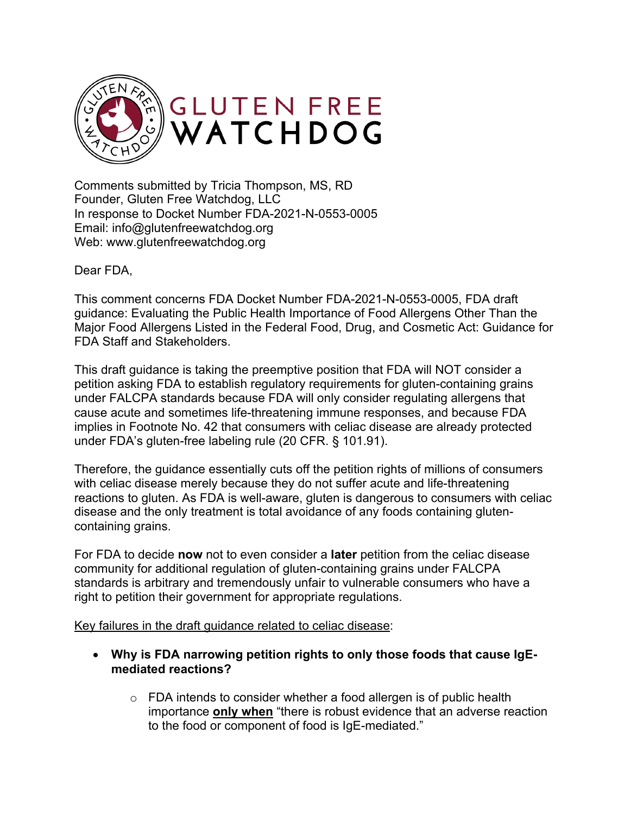

Comments submitted by Tricia Thompson, MS, RD Founder, Gluten Free Watchdog, LLC In response to Docket Number FDA-2021-N-0553-0005 Email: info@glutenfreewatchdog.org Web: www.glutenfreewatchdog.org

Dear FDA,

This comment concerns FDA Docket Number FDA-2021-N-0553-0005, FDA draft guidance: Evaluating the Public Health Importance of Food Allergens Other Than the Major Food Allergens Listed in the Federal Food, Drug, and Cosmetic Act: Guidance for FDA Staff and Stakeholders.

This draft guidance is taking the preemptive position that FDA will NOT consider a petition asking FDA to establish regulatory requirements for gluten-containing grains under FALCPA standards because FDA will only consider regulating allergens that cause acute and sometimes life-threatening immune responses, and because FDA implies in Footnote No. 42 that consumers with celiac disease are already protected under FDA's gluten-free labeling rule (20 CFR. § 101.91).

Therefore, the guidance essentially cuts off the petition rights of millions of consumers with celiac disease merely because they do not suffer acute and life-threatening reactions to gluten. As FDA is well-aware, gluten is dangerous to consumers with celiac disease and the only treatment is total avoidance of any foods containing glutencontaining grains.

For FDA to decide **now** not to even consider a **later** petition from the celiac disease community for additional regulation of gluten-containing grains under FALCPA standards is arbitrary and tremendously unfair to vulnerable consumers who have a right to petition their government for appropriate regulations.

Key failures in the draft guidance related to celiac disease:

- **Why is FDA narrowing petition rights to only those foods that cause IgEmediated reactions?**
	- $\circ$  FDA intends to consider whether a food allergen is of public health importance **only when** "there is robust evidence that an adverse reaction to the food or component of food is IgE-mediated."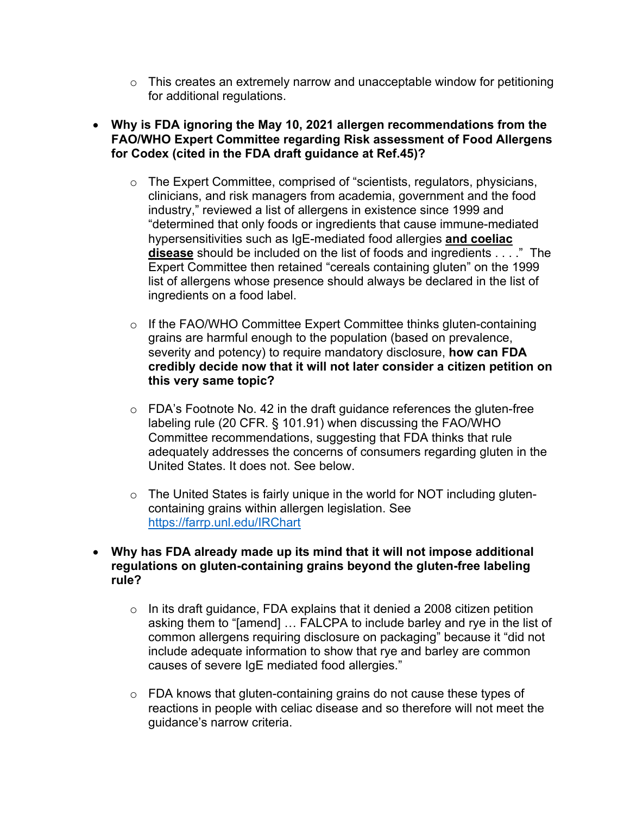- $\circ$  This creates an extremely narrow and unacceptable window for petitioning for additional regulations.
- **Why is FDA ignoring the May 10, 2021 allergen recommendations from the FAO/WHO Expert Committee regarding Risk assessment of Food Allergens for Codex (cited in the FDA draft guidance at Ref.45)?** 
	- o The Expert Committee, comprised of "scientists, regulators, physicians, clinicians, and risk managers from academia, government and the food industry," reviewed a list of allergens in existence since 1999 and "determined that only foods or ingredients that cause immune-mediated hypersensitivities such as IgE-mediated food allergies **and coeliac disease** should be included on the list of foods and ingredients . . . ." The Expert Committee then retained "cereals containing gluten" on the 1999 list of allergens whose presence should always be declared in the list of ingredients on a food label.
	- o If the FAO/WHO Committee Expert Committee thinks gluten-containing grains are harmful enough to the population (based on prevalence, severity and potency) to require mandatory disclosure, **how can FDA credibly decide now that it will not later consider a citizen petition on this very same topic?**
	- o FDA's Footnote No. 42 in the draft guidance references the gluten-free labeling rule (20 CFR. § 101.91) when discussing the FAO/WHO Committee recommendations, suggesting that FDA thinks that rule adequately addresses the concerns of consumers regarding gluten in the United States. It does not. See below.
	- o The United States is fairly unique in the world for NOT including glutencontaining grains within allergen legislation. See https://farrp.unl.edu/IRChart
- **Why has FDA already made up its mind that it will not impose additional regulations on gluten-containing grains beyond the gluten-free labeling rule?** 
	- $\circ$  In its draft guidance, FDA explains that it denied a 2008 citizen petition asking them to "[amend] … FALCPA to include barley and rye in the list of common allergens requiring disclosure on packaging" because it "did not include adequate information to show that rye and barley are common causes of severe IgE mediated food allergies."
	- $\circ$  FDA knows that gluten-containing grains do not cause these types of reactions in people with celiac disease and so therefore will not meet the guidance's narrow criteria.